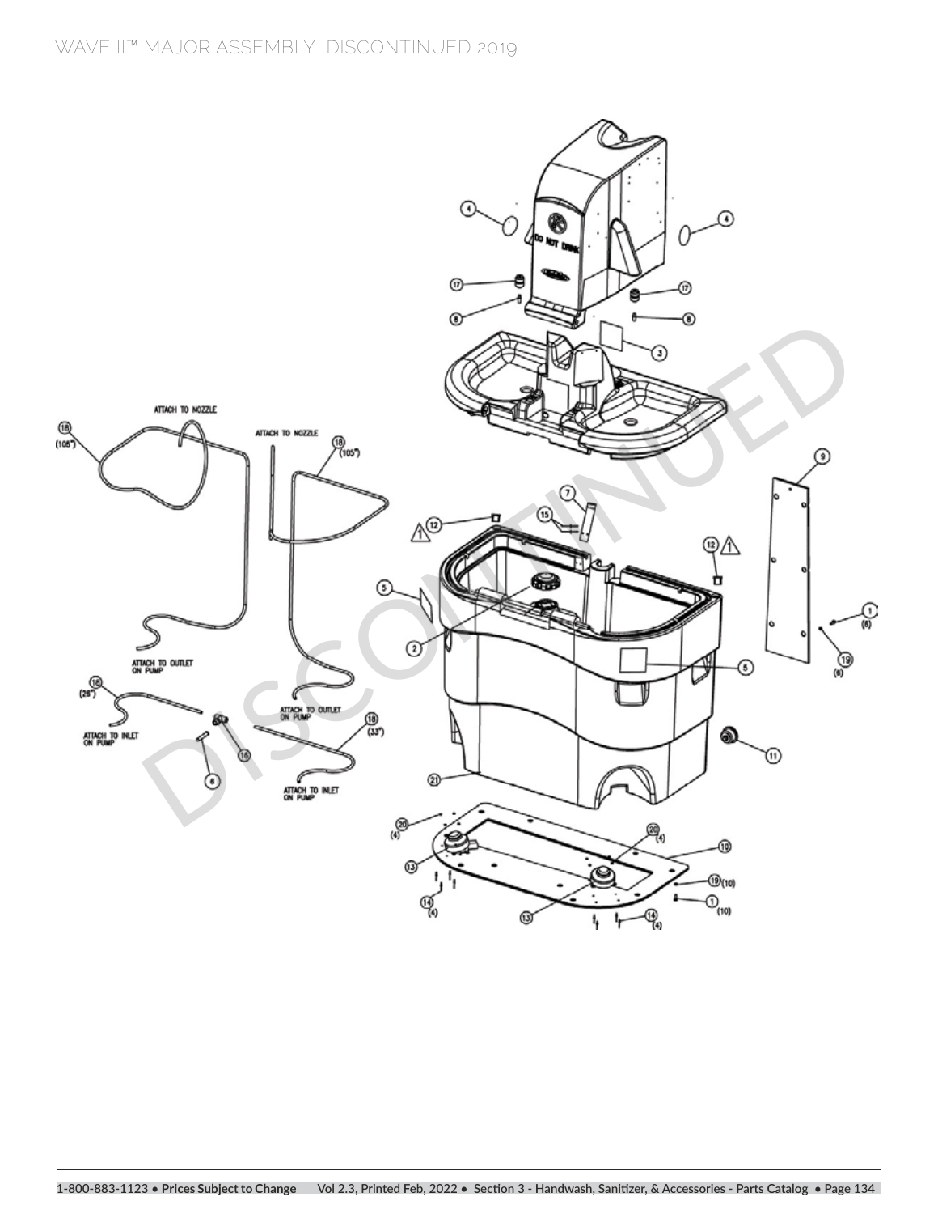